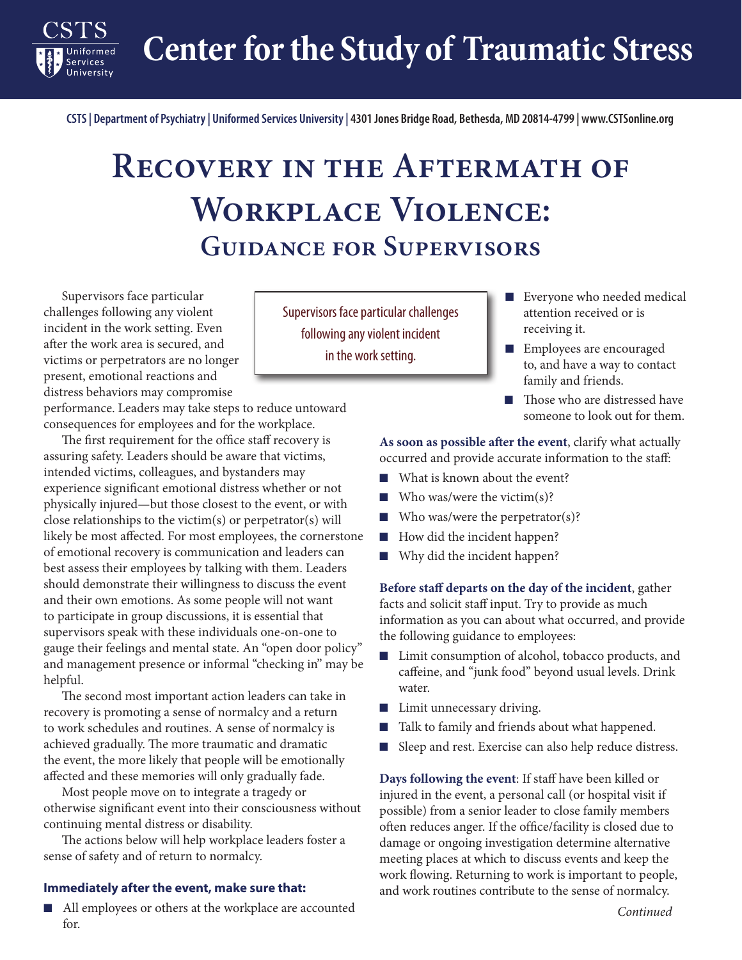**Center for the Study of Traumatic Stress**

**CSTS | Department of Psychiatry | Uniformed Services University | 4301 Jones Bridge Road, Bethesda, MD 20814-4799 | www.CSTSonline.org**

## **Recovery in the Aftermath of Workplace Violence: Guidance for Supervisors**

Supervisors face particular challenges following any violent incident in the work setting. Even after the work area is secured, and victims or perpetrators are no longer present, emotional reactions and distress behaviors may compromise

**Services** University

performance. Leaders may take steps to reduce untoward consequences for employees and for the workplace.

The first requirement for the office staff recovery is assuring safety. Leaders should be aware that victims, intended victims, colleagues, and bystanders may experience significant emotional distress whether or not physically injured—but those closest to the event, or with close relationships to the victim(s) or perpetrator(s) will likely be most affected. For most employees, the cornerstone of emotional recovery is communication and leaders can best assess their employees by talking with them. Leaders should demonstrate their willingness to discuss the event and their own emotions. As some people will not want to participate in group discussions, it is essential that supervisors speak with these individuals one-on-one to gauge their feelings and mental state. An "open door policy" and management presence or informal "checking in" may be helpful.

The second most important action leaders can take in recovery is promoting a sense of normalcy and a return to work schedules and routines. A sense of normalcy is achieved gradually. The more traumatic and dramatic the event, the more likely that people will be emotionally affected and these memories will only gradually fade.

Most people move on to integrate a tragedy or otherwise significant event into their consciousness without continuing mental distress or disability.

The actions below will help workplace leaders foster a sense of safety and of return to normalcy.

## **Immediately after the event, make sure that:**

■ All employees or others at the workplace are accounted for.

Supervisors face particular challenges following any violent incident in the work setting.

- Everyone who needed medical attention received or is receiving it.
- Employees are encouraged to, and have a way to contact family and friends.
- Those who are distressed have someone to look out for them.

## **As soon as possible after the event**, clarify what actually occurred and provide accurate information to the staff:

- What is known about the event?
- $\blacksquare$  Who was/were the victim(s)?
- $\blacksquare$  Who was/were the perpetrator(s)?
- How did the incident happen?
- Why did the incident happen?

**Before staff departs on the day of the incident**, gather facts and solicit staff input. Try to provide as much information as you can about what occurred, and provide the following guidance to employees:

- Limit consumption of alcohol, tobacco products, and caffeine, and "junk food" beyond usual levels. Drink water.
- Limit unnecessary driving.
- Talk to family and friends about what happened.
- Sleep and rest. Exercise can also help reduce distress.

**Days following the event**: If staff have been killed or injured in the event, a personal call (or hospital visit if possible) from a senior leader to close family members often reduces anger. If the office/facility is closed due to damage or ongoing investigation determine alternative meeting places at which to discuss events and keep the work flowing. Returning to work is important to people, and work routines contribute to the sense of normalcy.